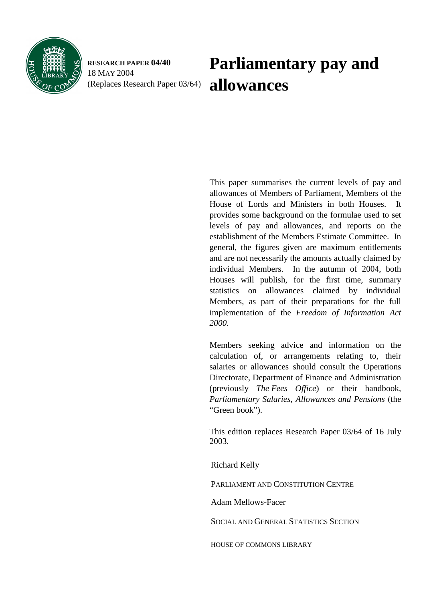

**RESEARCH PAPER 04/40**  18 MAY 2004 (Replaces Research Paper 03/64)

# **Parliamentary pay and allowances**

 This paper summarises the current levels of pay and allowances of Members of Parliament, Members of the House of Lords and Ministers in both Houses. It provides some background on the formulae used to set levels of pay and allowances, and reports on the establishment of the Members Estimate Committee. In general, the figures given are maximum entitlements and are not necessarily the amounts actually claimed by individual Members. In the autumn of 2004, both Houses will publish, for the first time, summary statistics on allowances claimed by individual Members, as part of their preparations for the full implementation of the *Freedom of Information Act 2000*.

Members seeking advice and information on the calculation of, or arrangements relating to, their salaries or allowances should consult the Operations Directorate, Department of Finance and Administration (previously *The Fees Office*) or their handbook, *Parliamentary Salaries, Allowances and Pensions* (the "Green book").

This edition replaces Research Paper 03/64 of 16 July 2003.

Richard Kelly

PARLIAMENT AND CONSTITUTION CENTRE

Adam Mellows-Facer

SOCIAL AND GENERAL STATISTICS SECTION

HOUSE OF COMMONS LIBRARY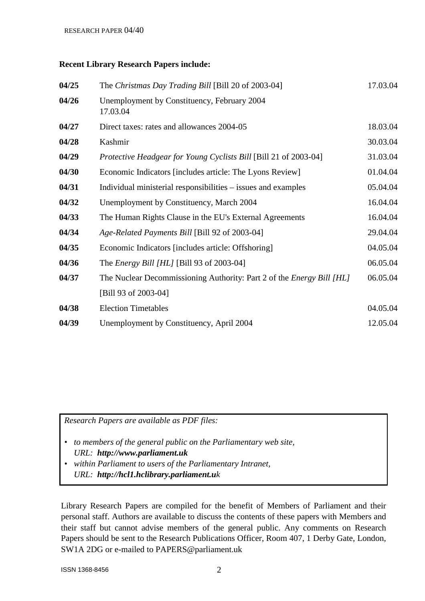#### **Recent Library Research Papers include:**

| 04/25 | The Christmas Day Trading Bill [Bill 20 of 2003-04]                          | 17.03.04 |
|-------|------------------------------------------------------------------------------|----------|
| 04/26 | Unemployment by Constituency, February 2004<br>17.03.04                      |          |
| 04/27 | Direct taxes: rates and allowances 2004-05                                   | 18.03.04 |
| 04/28 | Kashmir                                                                      | 30.03.04 |
| 04/29 | <i>Protective Headgear for Young Cyclists Bill</i> [Bill 21 of 2003-04]      | 31.03.04 |
| 04/30 | Economic Indicators [includes article: The Lyons Review]                     | 01.04.04 |
| 04/31 | Individual ministerial responsibilities – issues and examples                | 05.04.04 |
| 04/32 | Unemployment by Constituency, March 2004                                     | 16.04.04 |
| 04/33 | The Human Rights Clause in the EU's External Agreements                      | 16.04.04 |
| 04/34 | Age-Related Payments Bill [Bill 92 of 2003-04]                               | 29.04.04 |
| 04/35 | Economic Indicators [includes article: Offshoring]                           | 04.05.04 |
| 04/36 | The <i>Energy Bill [HL]</i> [Bill 93 of 2003-04]                             | 06.05.04 |
| 04/37 | The Nuclear Decommissioning Authority: Part 2 of the <i>Energy Bill [HL]</i> | 06.05.04 |
|       | [Bill 93 of 2003-04]                                                         |          |
| 04/38 | <b>Election Timetables</b>                                                   | 04.05.04 |
| 04/39 | Unemployment by Constituency, April 2004                                     | 12.05.04 |

*Research Papers are available as PDF files:* 

- *to members of the general public on the Parliamentary web site, URL: http://www.parliament.uk*
- *within Parliament to users of the Parliamentary Intranet, URL: http://hcl1.hclibrary.parliament.uk*

Library Research Papers are compiled for the benefit of Members of Parliament and their personal staff. Authors are available to discuss the contents of these papers with Members and their staff but cannot advise members of the general public. Any comments on Research Papers should be sent to the Research Publications Officer, Room 407, 1 Derby Gate, London, SW1A 2DG or e-mailed to PAPERS@parliament.uk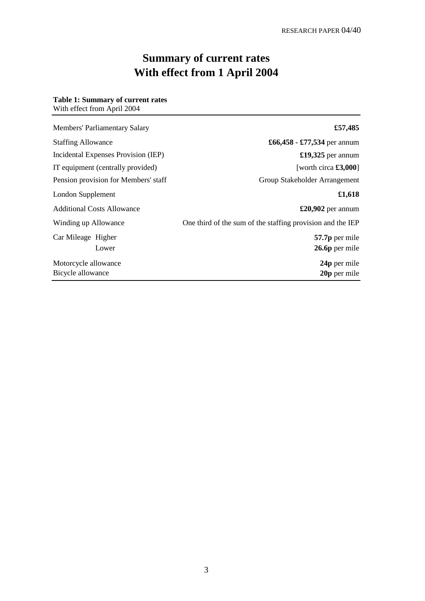# **Summary of current rates With effect from 1 April 2004**

#### **Table 1: Summary of current rates** With effect from April 2004

| <b>Members' Parliamentary Salary</b>      | £57,485                                                    |
|-------------------------------------------|------------------------------------------------------------|
| <b>Staffing Allowance</b>                 | £66,458 - £77,534 per annum                                |
| Incidental Expenses Provision (IEP)       | $£19,325$ per annum                                        |
| IT equipment (centrally provided)         | [worth circa $\pounds3,000$ ]                              |
| Pension provision for Members' staff      | Group Stakeholder Arrangement                              |
| London Supplement                         | £1,618                                                     |
| <b>Additional Costs Allowance</b>         | $£20,902$ per annum                                        |
| Winding up Allowance                      | One third of the sum of the staffing provision and the IEP |
| Car Mileage Higher<br>Lower               | 57.7p per mile<br>26.6p per mile                           |
| Motorcycle allowance<br>Bicycle allowance | 24p per mile<br>20p per mile                               |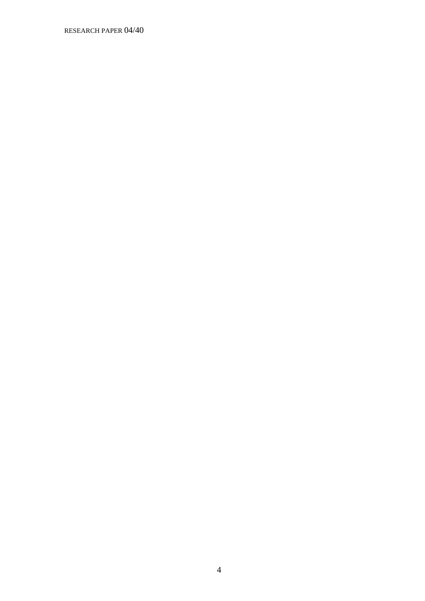RESEARCH PAPER 04/40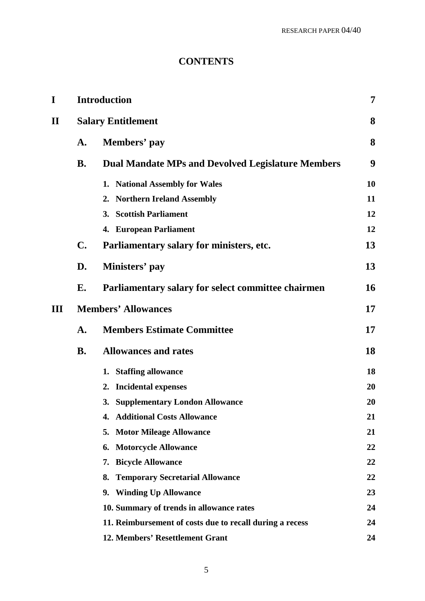# **CONTENTS**

| I            |                | <b>Introduction</b>                                      | 7  |
|--------------|----------------|----------------------------------------------------------|----|
| $\mathbf{I}$ |                | <b>Salary Entitlement</b>                                | 8  |
|              | A.             | Members' pay                                             | 8  |
|              | <b>B.</b>      | <b>Dual Mandate MPs and Devolved Legislature Members</b> | 9  |
|              |                | 1. National Assembly for Wales                           | 10 |
|              |                | 2. Northern Ireland Assembly                             | 11 |
|              |                | 3. Scottish Parliament                                   | 12 |
|              |                | 4. European Parliament                                   | 12 |
|              | $\mathbf{C}$ . | Parliamentary salary for ministers, etc.                 | 13 |
|              | D.             | Ministers' pay                                           | 13 |
|              | Е.             | Parliamentary salary for select committee chairmen       | 16 |
| Ш            |                | <b>Members' Allowances</b>                               | 17 |
|              | A.             | <b>Members Estimate Committee</b>                        | 17 |
|              | <b>B.</b>      | <b>Allowances and rates</b>                              | 18 |
|              |                | 1. Staffing allowance                                    | 18 |
|              |                | <b>Incidental expenses</b><br>2.                         | 20 |
|              |                | 3. Supplementary London Allowance                        | 20 |
|              |                | <b>Additional Costs Allowance</b><br>4.                  | 21 |
|              |                | <b>Motor Mileage Allowance</b><br>5.                     | 21 |
|              |                | <b>Motorcycle Allowance</b><br>6.                        | 22 |
|              |                | <b>Bicycle Allowance</b><br>7.                           | 22 |
|              |                | <b>Temporary Secretarial Allowance</b><br>8.             | 22 |
|              |                | <b>Winding Up Allowance</b><br>9.                        | 23 |
|              |                | 10. Summary of trends in allowance rates                 | 24 |
|              |                | 11. Reimbursement of costs due to recall during a recess | 24 |
|              |                | 12. Members' Resettlement Grant                          | 24 |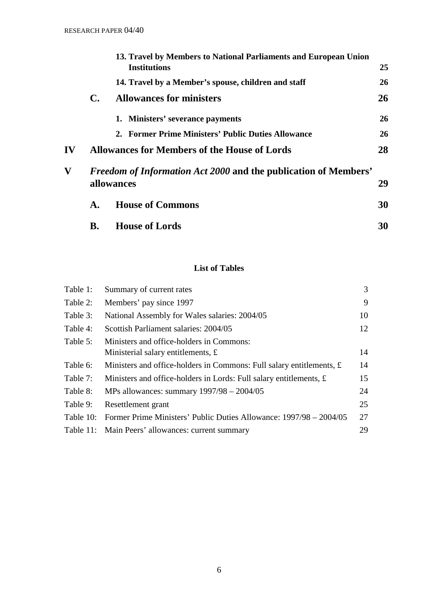|              |                | 13. Travel by Members to National Parliaments and European Union<br><b>Institutions</b> | 25 |
|--------------|----------------|-----------------------------------------------------------------------------------------|----|
|              |                | 14. Travel by a Member's spouse, children and staff                                     | 26 |
|              | $\mathbf{C}$ . | <b>Allowances for ministers</b>                                                         | 26 |
|              |                | 1. Ministers' severance payments                                                        | 26 |
|              |                | 2. Former Prime Ministers' Public Duties Allowance                                      | 26 |
| IV           |                | <b>Allowances for Members of the House of Lords</b>                                     | 28 |
| $\mathbf{V}$ |                | <i>Freedom of Information Act 2000</i> and the publication of Members'<br>allowances    | 29 |
|              | $\mathbf{A}$ . | <b>House of Commons</b>                                                                 | 30 |
|              | <b>B.</b>      | <b>House of Lords</b>                                                                   | 30 |

### **List of Tables**

| Table 1:  | Summary of current rates                                                              | 3  |
|-----------|---------------------------------------------------------------------------------------|----|
| Table 2:  | Members' pay since 1997                                                               | 9  |
| Table 3:  | National Assembly for Wales salaries: 2004/05                                         | 10 |
| Table 4:  | Scottish Parliament salaries: 2004/05                                                 | 12 |
| Table 5:  | Ministers and office-holders in Commons:                                              |    |
|           | Ministerial salary entitlements, $\pounds$                                            | 14 |
| Table 6:  | Ministers and office-holders in Commons: Full salary entitlements, $\mathbf{\pounds}$ | 14 |
| Table 7:  | Ministers and office-holders in Lords: Full salary entitlements, $\mathbf{\pounds}$   | 15 |
| Table 8:  | MPs allowances: summary $1997/98 - 2004/05$                                           | 24 |
| Table 9:  | Resettlement grant                                                                    | 25 |
| Table 10: | Former Prime Ministers' Public Duties Allowance: 1997/98 – 2004/05                    | 27 |
|           | Table 11: Main Peers' allowances: current summary                                     | 29 |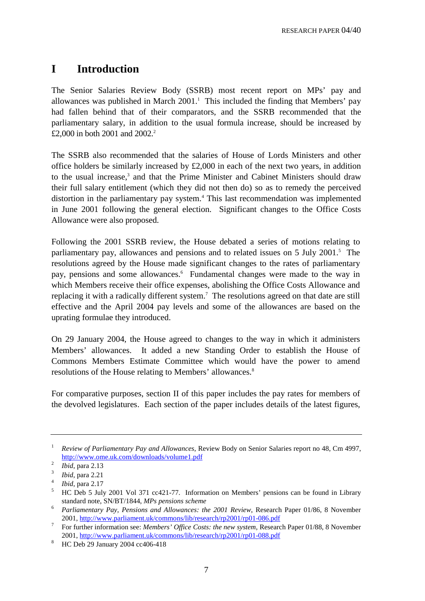## **I Introduction**

The Senior Salaries Review Body (SSRB) most recent report on MPs' pay and allowances was published in March  $2001<sup>1</sup>$ . This included the finding that Members' pay had fallen behind that of their comparators, and the SSRB recommended that the parliamentary salary, in addition to the usual formula increase, should be increased by £2,000 in both 2001 and 2002.<sup>2</sup>

The SSRB also recommended that the salaries of House of Lords Ministers and other office holders be similarly increased by £2,000 in each of the next two years, in addition to the usual increase,<sup>3</sup> and that the Prime Minister and Cabinet Ministers should draw their full salary entitlement (which they did not then do) so as to remedy the perceived distortion in the parliamentary pay system.<sup>4</sup> This last recommendation was implemented in June 2001 following the general election. Significant changes to the Office Costs Allowance were also proposed.

Following the 2001 SSRB review, the House debated a series of motions relating to parliamentary pay, allowances and pensions and to related issues on 5 July 2001.<sup>5</sup> The resolutions agreed by the House made significant changes to the rates of parliamentary pay, pensions and some allowances.<sup>6</sup> Fundamental changes were made to the way in which Members receive their office expenses, abolishing the Office Costs Allowance and replacing it with a radically different system.<sup>7</sup> The resolutions agreed on that date are still effective and the April 2004 pay levels and some of the allowances are based on the uprating formulae they introduced.

On 29 January 2004, the House agreed to changes to the way in which it administers Members' allowances. It added a new Standing Order to establish the House of Commons Members Estimate Committee which would have the power to amend resolutions of the House relating to Members' allowances.8

For comparative purposes, section II of this paper includes the pay rates for members of the devolved legislatures. Each section of the paper includes details of the latest figures,

<sup>1</sup> *Review of Parliamentary Pay and Allowances*, Review Body on Senior Salaries report no 48, Cm 4997, http://www.ome.uk.com/downloads/volume1.pdf<br><sup>2</sup> Hid. pers 2.13

 $\frac{2}{3}$  *Ibid*, para 2.13

<sup>&</sup>lt;sup>3</sup> *Ibid*, para 2.21

 $\frac{4}{5}$  *Ibid*, para 2.17

HC Deb 5 July 2001 Vol 371 cc421-77. Information on Members' pensions can be found in Library standard note, SN/BT/1844, *MPs pensions scheme*

<sup>6</sup> *Parliamentary Pay, Pensions and Allowances: the 2001 Review*, Research Paper 01/86, 8 November 2001,<http://www.parliament.uk/commons/lib/research/rp2001/rp01-086.pdf>

<sup>7</sup> For further information see: *Members' Office Costs: the new system*, Research Paper 01/88, 8 November 2001,<http://www.parliament.uk/commons/lib/research/rp2001/rp01-088.pdf>

<sup>8</sup> HC Deb 29 January 2004 cc406-418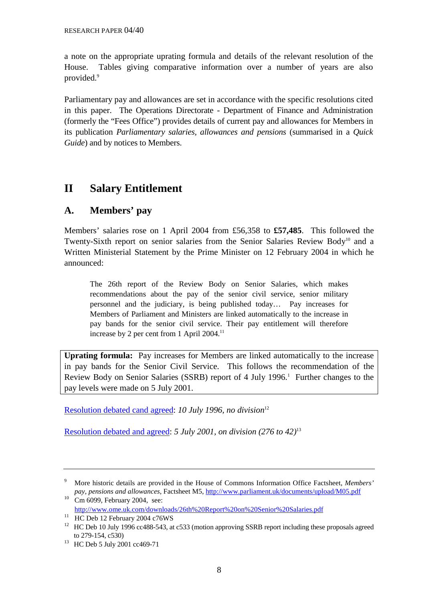a note on the appropriate uprating formula and details of the relevant resolution of the House. Tables giving comparative information over a number of years are also provided.<sup>9</sup>

Parliamentary pay and allowances are set in accordance with the specific resolutions cited in this paper. The Operations Directorate - Department of Finance and Administration (formerly the "Fees Office") provides details of current pay and allowances for Members in its publication *Parliamentary salaries, allowances and pensions* (summarised in a *Quick Guide*) and by notices to Members.

# **II Salary Entitlement**

#### **A. Members' pay**

Members' salaries rose on 1 April 2004 from £56,358 to **£57,485**. This followed the Twenty-Sixth report on senior salaries from the Senior Salaries Review Body<sup>10</sup> and a Written Ministerial Statement by the Prime Minister on 12 February 2004 in which he announced:

The 26th report of the Review Body on Senior Salaries, which makes recommendations about the pay of the senior civil service, senior military personnel and the judiciary, is being published today… Pay increases for Members of Parliament and Ministers are linked automatically to the increase in pay bands for the senior civil service. Their pay entitlement will therefore increase by 2 per cent from 1 April  $2004$ .<sup>11</sup>

**Uprating formula:** Pay increases for Members are linked automatically to the increase in pay bands for the Senior Civil Service. This follows the recommendation of the Review Body on Senior Salaries (SSRB) report of 4 July 1996.<sup>1</sup> Further changes to the pay levels were made on 5 July 2001.

Resolution debated cand agreed: *10 July 1996, no division*<sup>12</sup>

Resolution debated and agreed: *5 July 2001, on division (276 to 42)*<sup>13</sup>

<sup>9</sup> More historic details are provided in the House of Commons Information Office Factsheet, *Members' pay, pensions and allowances*, Factsheet M5,<http://www.parliament.uk/documents/upload/M05.pdf>Cm 6099, February 2004, see:

<http://www.ome.uk.com/downloads/26th%20Report%20on%20Senior%20Salaries.pdf>11 [HC Deb 12 February 2004 c76WS](http://www.ome.uk.com/downloads/26th%20Report%20on%20Senior%20Salaries.pdf) 

<sup>&</sup>lt;sup>12</sup> HC Deb 10 July 1996 cc488-543, at c533 (motion approving SSRB report including these proposals agreed

to 279-154, c530)<br><sup>13</sup> HC Deb 5 July 2001 cc469-71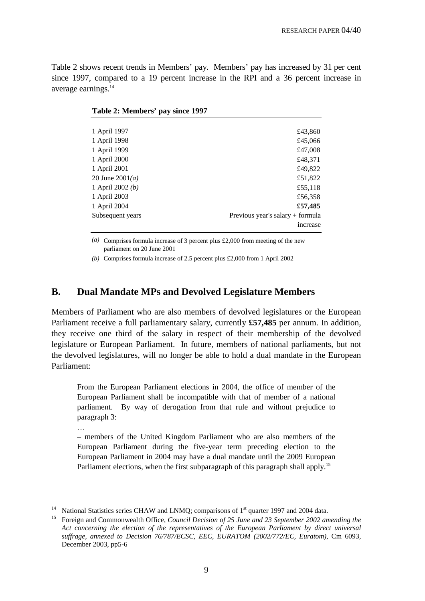Table 2 shows recent trends in Members' pay. Members' pay has increased by 31 per cent since 1997, compared to a 19 percent increase in the RPI and a 36 percent increase in average earnings.14

| 1 April 1997       | £43,860                          |
|--------------------|----------------------------------|
| 1 April 1998       | £45,066                          |
| 1 April 1999       | £47,008                          |
| 1 April 2000       | £48,371                          |
| 1 April 2001       | £49,822                          |
| 20 June $2001(a)$  | £51,822                          |
| 1 April 2002 $(b)$ | £55,118                          |
| 1 April 2003       | £56,358                          |
| 1 April 2004       | £57,485                          |
| Subsequent years   | Previous year's salary + formula |
|                    | <i>ncrease</i>                   |

| Table 2: Members' pay since 1997 |  |  |  |
|----------------------------------|--|--|--|
|----------------------------------|--|--|--|

*(a)*  Comprises formula increase of 3 percent plus £2,000 from meeting of the new parliament on 20 June 2001

*(b)* Comprises formula increase of 2.5 percent plus £2,000 from 1 April 2002

#### **B. Dual Mandate MPs and Devolved Legislature Members**

Members of Parliament who are also members of devolved legislatures or the European Parliament receive a full parliamentary salary, currently **£57,485** per annum. In addition, they receive one third of the salary in respect of their membership of the devolved legislature or European Parliament. In future, members of national parliaments, but not the devolved legislatures, will no longer be able to hold a dual mandate in the European Parliament:

From the European Parliament elections in 2004, the office of member of the European Parliament shall be incompatible with that of member of a national parliament. By way of derogation from that rule and without prejudice to paragraph 3:

…

– members of the United Kingdom Parliament who are also members of the European Parliament during the five-year term preceding election to the European Parliament in 2004 may have a dual mandate until the 2009 European Parliament elections, when the first subparagraph of this paragraph shall apply.<sup>15</sup>

<sup>&</sup>lt;sup>14</sup> National Statistics series CHAW and LNMQ; comparisons of 1<sup>st</sup> quarter 1997 and 2004 data.<br><sup>15</sup> Foreign and Commonwealth Office, *Council Decision of 25 June and 23 September 2002 amending the* 

*Act concerning the election of the representatives of the European Parliament by direct universal suffrage, annexed to Decision 76/787/ECSC, EEC, EURATOM (2002/772/EC, Euratom)*, Cm 6093, December 2003, pp5-6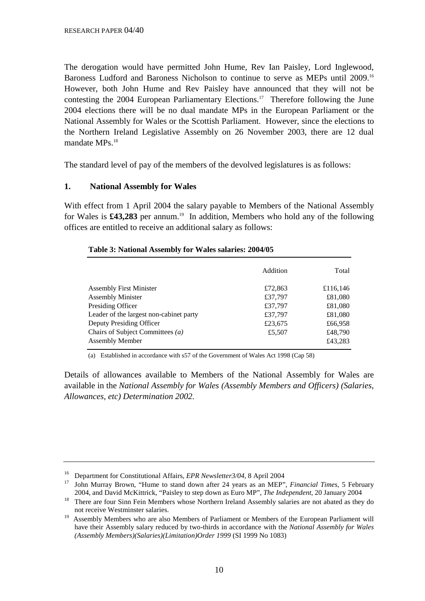The derogation would have permitted John Hume, Rev Ian Paisley, Lord Inglewood, Baroness Ludford and Baroness Nicholson to continue to serve as MEPs until 2009.16 However, both John Hume and Rev Paisley have announced that they will not be contesting the 2004 European Parliamentary Elections.<sup>17</sup> Therefore following the June 2004 elections there will be no dual mandate MPs in the European Parliament or the National Assembly for Wales or the Scottish Parliament. However, since the elections to the Northern Ireland Legislative Assembly on 26 November 2003, there are 12 dual mandate MPs.<sup>18</sup>

The standard level of pay of the members of the devolved legislatures is as follows:

#### **1. National Assembly for Wales**

With effect from 1 April 2004 the salary payable to Members of the National Assembly for Wales is **£43,283** per annum.<sup>19</sup> In addition, Members who hold any of the following offices are entitled to receive an additional salary as follows:

#### **Table 3: National Assembly for Wales salaries: 2004/05**

|                                         | Addition | Total    |
|-----------------------------------------|----------|----------|
| <b>Assembly First Minister</b>          | £72,863  | £116,146 |
| <b>Assembly Minister</b>                | £37,797  | £81,080  |
| Presiding Officer                       | £37,797  | £81,080  |
| Leader of the largest non-cabinet party | £37,797  | £81,080  |
| Deputy Presiding Officer                | £23,675  | £66,958  |
| Chairs of Subject Committees (a)        | £5,507   | £48,790  |
| Assembly Member                         |          | £43,283  |

(a) Established in accordance with s57 of the Government of Wales Act 1998 (Cap 58)

Details of allowances available to Members of the National Assembly for Wales are available in the *National Assembly for Wales (Assembly Members and Officers) (Salaries, Allowances, etc) Determination 2002.*

<sup>&</sup>lt;sup>16</sup> Department for Constitutional Affairs, *EPR Newsletter3/04*, 8 April 2004<br><sup>17</sup> John Murray Brown, "Hume to stand down after 24 years as an MEP", *Financial Times*, 5 February<br>2004, and David McKittrick, "Paisley to st

<sup>&</sup>lt;sup>18</sup> There are four Sinn Fein Members whose Northern Ireland Assembly salaries are not abated as they do not receive Westminster salaries.

<sup>&</sup>lt;sup>19</sup> Assembly Members who are also Members of Parliament or Members of the European Parliament will have their Assembly salary reduced by two-thirds in accordance with the *National Assembly for Wales (Assembly Members)(Salaries)(Limitation)Order 1999* (SI 1999 No 1083)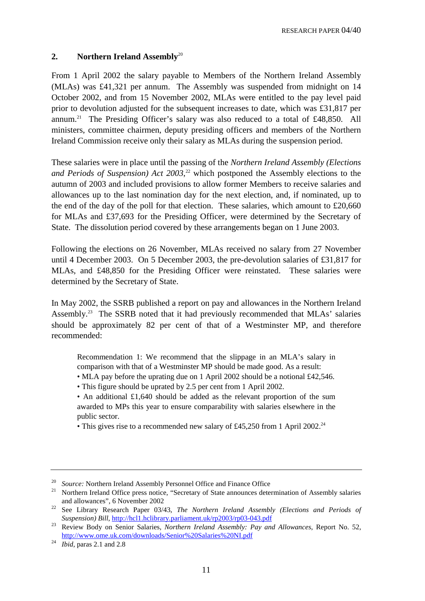#### **2. Northern Ireland Assembly**<sup>20</sup>

From 1 April 2002 the salary payable to Members of the Northern Ireland Assembly (MLAs) was £41,321 per annum. The Assembly was suspended from midnight on 14 October 2002, and from 15 November 2002, MLAs were entitled to the pay level paid prior to devolution adjusted for the subsequent increases to date, which was £31,817 per annum.21 The Presiding Officer's salary was also reduced to a total of £48,850. All ministers, committee chairmen, deputy presiding officers and members of the Northern Ireland Commission receive only their salary as MLAs during the suspension period.

These salaries were in place until the passing of the *Northern Ireland Assembly (Elections and Periods of Suspension) Act 2003*, 22 which postponed the Assembly elections to the autumn of 2003 and included provisions to allow former Members to receive salaries and allowances up to the last nomination day for the next election, and, if nominated, up to the end of the day of the poll for that election. These salaries, which amount to  $£20,660$ for MLAs and £37,693 for the Presiding Officer, were determined by the Secretary of State. The dissolution period covered by these arrangements began on 1 June 2003.

Following the elections on 26 November, MLAs received no salary from 27 November until 4 December 2003. On 5 December 2003, the pre-devolution salaries of £31,817 for MLAs, and £48,850 for the Presiding Officer were reinstated. These salaries were determined by the Secretary of State.

In May 2002, the SSRB published a report on pay and allowances in the Northern Ireland Assembly.<sup>23</sup> The SSRB noted that it had previously recommended that MLAs' salaries should be approximately 82 per cent of that of a Westminster MP, and therefore recommended:

Recommendation 1: We recommend that the slippage in an MLA's salary in comparison with that of a Westminster MP should be made good. As a result:

- MLA pay before the uprating due on 1 April 2002 should be a notional £42,546.
- This figure should be uprated by 2.5 per cent from 1 April 2002.
- An additional £1,640 should be added as the relevant proportion of the sum awarded to MPs this year to ensure comparability with salaries elsewhere in the public sector.
- This gives rise to a recommended new salary of £45,250 from 1 April 2002.<sup>24</sup>

<sup>&</sup>lt;sup>20</sup> Source: Northern Ireland Assembly Personnel Office and Finance Office<br><sup>21</sup> Northern Ireland Office press notice, "Secretary of State announces determination of Assembly salaries

and allowances", 6 November 2002<br><sup>22</sup> See Library Research Paper 03/43, *The Northern Ireland Assembly (Elections and Periods of Suspension) Bill*,<http://hcl1.hclibrary.parliament.uk/rp2003/rp03-043.pdf>

<sup>23</sup> Review Body on Senior Salaries, *Northern Ireland Assembly: Pay and Allowances*, Report No. 52, <http://www.ome.uk.com/downloads/Senior%20Salaries%20NI.pdf>24 *Ibid*, paras 2.1 and 2.8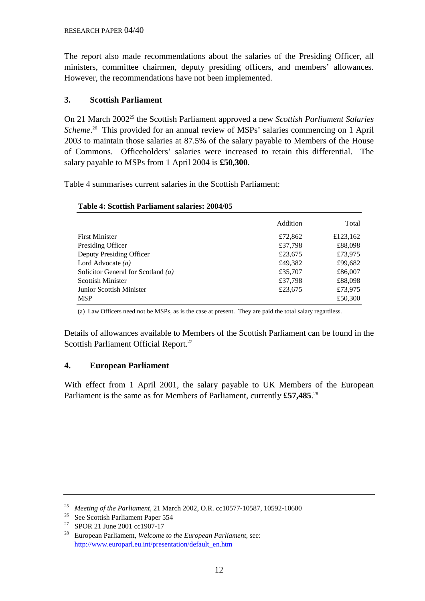The report also made recommendations about the salaries of the Presiding Officer, all ministers, committee chairmen, deputy presiding officers, and members' allowances. However, the recommendations have not been implemented.

#### **3. Scottish Parliament**

On 21 March 200225 the Scottish Parliament approved a new *Scottish Parliament Salaries*  Scheme.<sup>26</sup> This provided for an annual review of MSPs' salaries commencing on 1 April 2003 to maintain those salaries at 87.5% of the salary payable to Members of the House of Commons. Officeholders' salaries were increased to retain this differential. The salary payable to MSPs from 1 April 2004 is **£50,300**.

Table 4 summarises current salaries in the Scottish Parliament:

|  |  | Table 4: Scottish Parliament salaries: 2004/05 |  |  |
|--|--|------------------------------------------------|--|--|
|--|--|------------------------------------------------|--|--|

|                                      | Addition | Total    |
|--------------------------------------|----------|----------|
| <b>First Minister</b>                | £72,862  | £123,162 |
| Presiding Officer                    | £37,798  | £88,098  |
| Deputy Presiding Officer             | £23,675  | £73,975  |
| Lord Advocate $(a)$                  | £49,382  | £99,682  |
| Solicitor General for Scotland $(a)$ | £35,707  | £86,007  |
| <b>Scottish Minister</b>             | £37,798  | £88,098  |
| Junior Scottish Minister             | £23,675  | £73,975  |
| <b>MSP</b>                           |          | £50,300  |

(a) Law Officers need not be MSPs, as is the case at present. They are paid the total salary regardless.

Details of allowances available to Members of the Scottish Parliament can be found in the Scottish Parliament Official Report.<sup>27</sup>

#### **4. European Parliament**

With effect from 1 April 2001, the salary payable to UK Members of the European Parliament is the same as for Members of Parliament, currently **£57,485**. 28

<sup>&</sup>lt;sup>25</sup> *Meeting of the Parliament,* 21 March 2002, O.R. cc10577-10587, 10592-10600<br><sup>26</sup> See Scottish Parliament Paper 554<br><sup>27</sup> SPOR 21 June 2001 cc1007 17

 $^{27}$  SPOR 21 June 2001 cc1907-17<br> $^{28}$  European Perliament Welcome

<sup>28</sup> European Parliament, *Welcome to the European Parliament*, see: [http://www.europarl.eu.int/presentation/default\\_en.htm](http://www.europarl.eu.int/presentation/default_en.htm)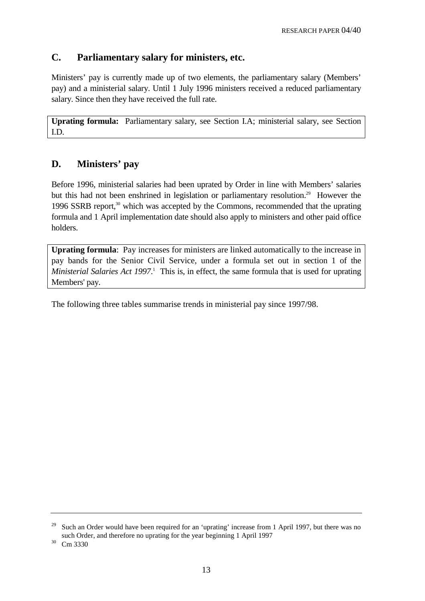### **C. Parliamentary salary for ministers, etc.**

Ministers' pay is currently made up of two elements, the parliamentary salary (Members' pay) and a ministerial salary. Until 1 July 1996 ministers received a reduced parliamentary salary. Since then they have received the full rate.

**Uprating formula:** Parliamentary salary, see Section I.A; ministerial salary, see Section I.D.

### **D. Ministers' pay**

Before 1996, ministerial salaries had been uprated by Order in line with Members' salaries but this had not been enshrined in legislation or parliamentary resolution.<sup>29</sup> However the 1996 SSRB report,<sup>30</sup> which was accepted by the Commons, recommended that the uprating formula and 1 April implementation date should also apply to ministers and other paid office holders.

**Uprating formula**: Pay increases for ministers are linked automatically to the increase in pay bands for the Senior Civil Service, under a formula set out in section 1 of the Ministerial Salaries Act 1997.<sup>1</sup> This is, in effect, the same formula that is used for uprating Members' pay.

The following three tables summarise trends in ministerial pay since 1997/98.

<sup>&</sup>lt;sup>29</sup> Such an Order would have been required for an 'uprating' increase from 1 April 1997, but there was no such Order, and therefore no uprating for the year beginning 1 April 1997<br><sup>30</sup> Cm 3330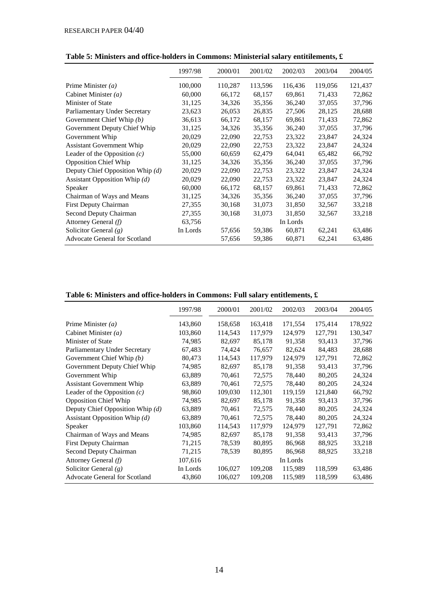|                                      | 1997/98  | 2000/01 | 2001/02 | 2002/03  | 2003/04 | 2004/05 |
|--------------------------------------|----------|---------|---------|----------|---------|---------|
| Prime Minister $(a)$                 | 100,000  | 110,287 | 113,596 | 116,436  | 119,056 | 121,437 |
| Cabinet Minister $(a)$               | 60,000   | 66,172  | 68,157  | 69,861   | 71,433  | 72,862  |
| <b>Minister of State</b>             | 31,125   | 34,326  | 35,356  | 36,240   | 37,055  | 37,796  |
| Parliamentary Under Secretary        | 23,623   | 26,053  | 26,835  | 27,506   | 28,125  | 28,688  |
| Government Chief Whip (b)            | 36,613   | 66,172  | 68,157  | 69,861   | 71,433  | 72,862  |
| Government Deputy Chief Whip         | 31,125   | 34,326  | 35,356  | 36,240   | 37,055  | 37,796  |
| Government Whip                      | 20,029   | 22,090  | 22,753  | 23,322   | 23,847  | 24,324  |
| <b>Assistant Government Whip</b>     | 20,029   | 22,090  | 22,753  | 23,322   | 23,847  | 24,324  |
| Leader of the Opposition $(c)$       | 55,000   | 60,659  | 62,479  | 64,041   | 65,482  | 66,792  |
| <b>Opposition Chief Whip</b>         | 31,125   | 34,326  | 35,356  | 36,240   | 37,055  | 37,796  |
| Deputy Chief Opposition Whip $(d)$   | 20,029   | 22,090  | 22,753  | 23,322   | 23,847  | 24,324  |
| Assistant Opposition Whip $(d)$      | 20,029   | 22,090  | 22,753  | 23,322   | 23,847  | 24,324  |
| Speaker                              | 60,000   | 66,172  | 68,157  | 69,861   | 71,433  | 72,862  |
| Chairman of Ways and Means           | 31,125   | 34,326  | 35,356  | 36,240   | 37,055  | 37,796  |
| First Deputy Chairman                | 27,355   | 30,168  | 31,073  | 31,850   | 32,567  | 33,218  |
| Second Deputy Chairman               | 27,355   | 30,168  | 31,073  | 31,850   | 32,567  | 33,218  |
| Attorney General (f)                 | 63,756   |         |         | In Lords |         |         |
| Solicitor General $(g)$              | In Lords | 57,656  | 59,386  | 60,871   | 62,241  | 63,486  |
| <b>Advocate General for Scotland</b> |          | 57,656  | 59,386  | 60,871   | 62,241  | 63,486  |

**Table 5: Ministers and office-holders in Commons: Ministerial salary entitilements, £**

#### **Table 6: Ministers and office-holders in Commons: Full salary entitlements, £**

|                                      | 1997/98  | 2000/01 | 2001/02 | 2002/03  | 2003/04 | 2004/05 |
|--------------------------------------|----------|---------|---------|----------|---------|---------|
| Prime Minister $(a)$                 | 143,860  | 158,658 | 163,418 | 171,554  | 175,414 | 178,922 |
| Cabinet Minister $(a)$               | 103,860  | 114,543 | 117,979 | 124,979  | 127,791 | 130,347 |
| Minister of State                    | 74,985   | 82,697  | 85,178  | 91,358   | 93,413  | 37,796  |
| Parliamentary Under Secretary        | 67,483   | 74,424  | 76,657  | 82,624   | 84,483  | 28,688  |
| Government Chief Whip (b)            | 80,473   | 114,543 | 117,979 | 124,979  | 127,791 | 72,862  |
| Government Deputy Chief Whip         | 74,985   | 82,697  | 85,178  | 91,358   | 93,413  | 37,796  |
| Government Whip                      | 63,889   | 70,461  | 72,575  | 78,440   | 80,205  | 24,324  |
| <b>Assistant Government Whip</b>     | 63,889   | 70,461  | 72,575  | 78,440   | 80,205  | 24,324  |
| Leader of the Opposition $(c)$       | 98,860   | 109,030 | 112,301 | 119,159  | 121,840 | 66,792  |
| <b>Opposition Chief Whip</b>         | 74,985   | 82,697  | 85,178  | 91,358   | 93,413  | 37,796  |
| Deputy Chief Opposition Whip $(d)$   | 63,889   | 70,461  | 72,575  | 78,440   | 80,205  | 24,324  |
| Assistant Opposition Whip $(d)$      | 63,889   | 70,461  | 72,575  | 78,440   | 80,205  | 24,324  |
| Speaker                              | 103,860  | 114,543 | 117,979 | 124,979  | 127,791 | 72,862  |
| Chairman of Ways and Means           | 74,985   | 82,697  | 85,178  | 91,358   | 93,413  | 37,796  |
| First Deputy Chairman                | 71,215   | 78,539  | 80,895  | 86,968   | 88,925  | 33,218  |
| Second Deputy Chairman               | 71,215   | 78,539  | 80,895  | 86,968   | 88,925  | 33,218  |
| Attorney General (f)                 | 107,616  |         |         | In Lords |         |         |
| Solicitor General $(g)$              | In Lords | 106,027 | 109,208 | 115,989  | 118,599 | 63,486  |
| <b>Advocate General for Scotland</b> | 43,860   | 106,027 | 109,208 | 115,989  | 118,599 | 63,486  |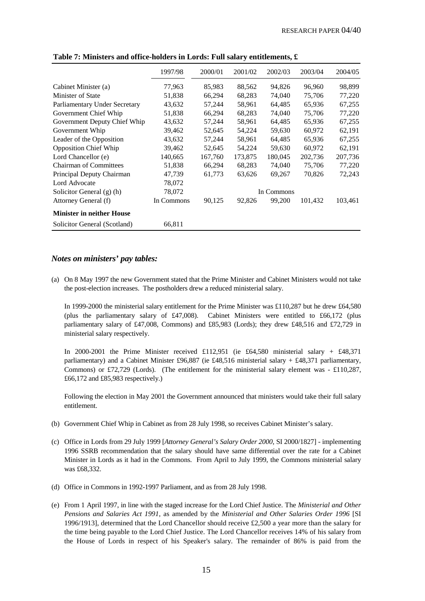|                                  | 1997/98    | 2000/01 | 2001/02 | 2002/03    | 2003/04 | 2004/05 |
|----------------------------------|------------|---------|---------|------------|---------|---------|
| Cabinet Minister (a)             | 77,963     | 85,983  | 88,562  | 94,826     | 96,960  | 98,899  |
| Minister of State                | 51,838     | 66,294  | 68,283  | 74,040     | 75,706  | 77,220  |
| Parliamentary Under Secretary    | 43,632     | 57,244  | 58,961  | 64,485     | 65,936  | 67,255  |
| Government Chief Whip            | 51,838     | 66,294  | 68,283  | 74,040     | 75,706  | 77,220  |
| Government Deputy Chief Whip     | 43,632     | 57,244  | 58,961  | 64,485     | 65,936  | 67,255  |
| Government Whip                  | 39,462     | 52,645  | 54,224  | 59,630     | 60,972  | 62,191  |
| Leader of the Opposition         | 43,632     | 57,244  | 58,961  | 64,485     | 65,936  | 67,255  |
| <b>Opposition Chief Whip</b>     | 39,462     | 52,645  | 54,224  | 59,630     | 60,972  | 62,191  |
| Lord Chancellor (e)              | 140,665    | 167,760 | 173,875 | 180,045    | 202,736 | 207,736 |
| <b>Chairman of Committees</b>    | 51,838     | 66,294  | 68,283  | 74,040     | 75,706  | 77,220  |
| Principal Deputy Chairman        | 47,739     | 61,773  | 63,626  | 69,267     | 70,826  | 72,243  |
| Lord Advocate                    | 78,072     |         |         |            |         |         |
| Solicitor General $(g)$ (h)      | 78,072     |         |         | In Commons |         |         |
| Attorney General (f)             | In Commons | 90,125  | 92,826  | 99,200     | 101,432 | 103,461 |
| <b>Minister in neither House</b> |            |         |         |            |         |         |
| Solicitor General (Scotland)     | 66,811     |         |         |            |         |         |

**Table 7: Ministers and office-holders in Lords: Full salary entitlements, £**

#### *Notes on ministers' pay tables:*

(a) On 8 May 1997 the new Government stated that the Prime Minister and Cabinet Ministers would not take the post-election increases. The postholders drew a reduced ministerial salary.

In 1999-2000 the ministerial salary entitlement for the Prime Minister was £110,287 but he drew £64,580 (plus the parliamentary salary of £47,008). Cabinet Ministers were entitled to £66,172 (plus parliamentary salary of £47,008, Commons) and £85,983 (Lords); they drew £48,516 and £72,729 in ministerial salary respectively.

In 2000-2001 the Prime Minister received £112,951 (ie £64,580 ministerial salary + £48,371 parliamentary) and a Cabinet Minister £96,887 (ie £48,516 ministerial salary + £48,371 parliamentary, Commons) or £72,729 (Lords). (The entitlement for the ministerial salary element was - £110,287, £66,172 and £85,983 respectively.)

Following the election in May 2001 the Government announced that ministers would take their full salary entitlement.

- (b) Government Chief Whip in Cabinet as from 28 July 1998, so receives Cabinet Minister's salary.
- (c) Office in Lords from 29 July 1999 [*Attorney General's Salary Order 2000*, SI 2000/1827] implementing 1996 SSRB recommendation that the salary should have same differential over the rate for a Cabinet Minister in Lords as it had in the Commons. From April to July 1999, the Commons ministerial salary was £68,332.
- (d) Office in Commons in 1992-1997 Parliament, and as from 28 July 1998.
- (e) From 1 April 1997, in line with the staged increase for the Lord Chief Justice. The *Ministerial and Other Pensions and Salaries Act 1991*, as amended by the *Ministerial and Other Salaries Order 1996* [SI 1996/1913], determined that the Lord Chancellor should receive £2,500 a year more than the salary for the time being payable to the Lord Chief Justice. The Lord Chancellor receives 14% of his salary from the House of Lords in respect of his Speaker's salary. The remainder of 86% is paid from the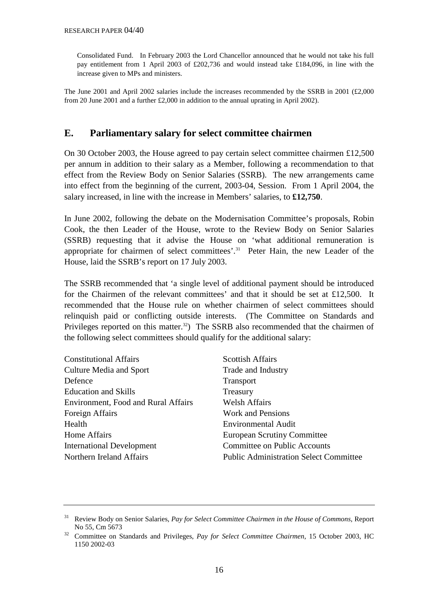Consolidated Fund. In February 2003 the Lord Chancellor announced that he would not take his full pay entitlement from 1 April 2003 of £202,736 and would instead take £184,096, in line with the increase given to MPs and ministers.

The June 2001 and April 2002 salaries include the increases recommended by the SSRB in 2001 (£2,000 from 20 June 2001 and a further £2,000 in addition to the annual uprating in April 2002).

#### **E. Parliamentary salary for select committee chairmen**

On 30 October 2003, the House agreed to pay certain select committee chairmen £12,500 per annum in addition to their salary as a Member, following a recommendation to that effect from the Review Body on Senior Salaries (SSRB). The new arrangements came into effect from the beginning of the current, 2003-04, Session. From 1 April 2004, the salary increased, in line with the increase in Members' salaries, to **£12,750**.

In June 2002, following the debate on the Modernisation Committee's proposals, Robin Cook, the then Leader of the House, wrote to the Review Body on Senior Salaries (SSRB) requesting that it advise the House on 'what additional remuneration is appropriate for chairmen of select committees'.31 Peter Hain, the new Leader of the House, laid the SSRB's report on 17 July 2003.

The SSRB recommended that 'a single level of additional payment should be introduced for the Chairmen of the relevant committees' and that it should be set at £12,500. It recommended that the House rule on whether chairmen of select committees should relinquish paid or conflicting outside interests. (The Committee on Standards and Privileges reported on this matter.<sup>32</sup>) The SSRB also recommended that the chairmen of the following select committees should qualify for the additional salary:

| <b>Constitutional Affairs</b>              | <b>Scottish Affairs</b>                       |
|--------------------------------------------|-----------------------------------------------|
| <b>Culture Media and Sport</b>             | Trade and Industry                            |
| Defence                                    | <b>Transport</b>                              |
| <b>Education and Skills</b>                | Treasury                                      |
| <b>Environment, Food and Rural Affairs</b> | <b>Welsh Affairs</b>                          |
| Foreign Affairs                            | <b>Work and Pensions</b>                      |
| Health                                     | <b>Environmental Audit</b>                    |
| Home Affairs                               | <b>European Scrutiny Committee</b>            |
| <b>International Development</b>           | Committee on Public Accounts                  |
| <b>Northern Ireland Affairs</b>            | <b>Public Administration Select Committee</b> |

<sup>31</sup> Review Body on Senior Salaries, *Pay for Select Committee Chairmen in the House of Commons*, Report

<sup>&</sup>lt;sup>32</sup> Committee on Standards and Privileges, *Pay for Select Committee Chairmen*, 15 October 2003, HC 1150 2002-03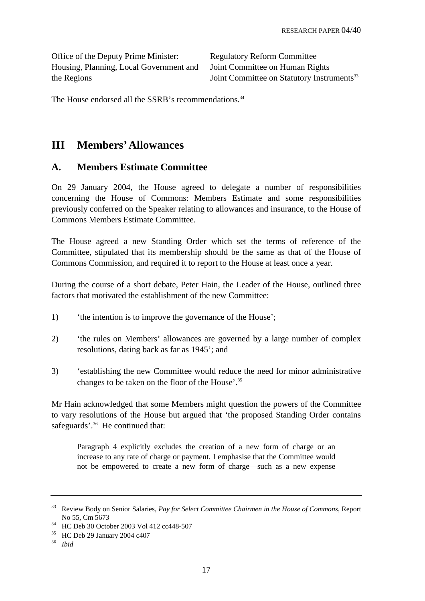Office of the Deputy Prime Minister: Housing, Planning, Local Government and the Regions

Regulatory Reform Committee Joint Committee on Human Rights Joint Committee on Statutory Instruments<sup>33</sup>

The House endorsed all the SSRB's recommendations.<sup>34</sup>

### **III Members' Allowances**

#### **A. Members Estimate Committee**

On 29 January 2004, the House agreed to delegate a number of responsibilities concerning the House of Commons: Members Estimate and some responsibilities previously conferred on the Speaker relating to allowances and insurance, to the House of Commons Members Estimate Committee.

The House agreed a new Standing Order which set the terms of reference of the Committee, stipulated that its membership should be the same as that of the House of Commons Commission, and required it to report to the House at least once a year.

During the course of a short debate, Peter Hain, the Leader of the House, outlined three factors that motivated the establishment of the new Committee:

- 1) 'the intention is to improve the governance of the House';
- 2) 'the rules on Members' allowances are governed by a large number of complex resolutions, dating back as far as 1945'; and
- 3) 'establishing the new Committee would reduce the need for minor administrative changes to be taken on the floor of the House'.35

Mr Hain acknowledged that some Members might question the powers of the Committee to vary resolutions of the House but argued that 'the proposed Standing Order contains safeguards'.<sup>36</sup> He continued that:

Paragraph 4 explicitly excludes the creation of a new form of charge or an increase to any rate of charge or payment. I emphasise that the Committee would not be empowered to create a new form of charge—such as a new expense

<sup>&</sup>lt;sup>33</sup> Review Body on Senior Salaries, *Pay for Select Committee Chairmen in the House of Commons*, Report No 55, Cm 5673

<sup>&</sup>lt;sup>34</sup> HC Deb 30 October 2003 Vol 412 cc448-507

<sup>35</sup> HC Deb 29 January 2004 c407

<sup>36</sup> *Ibid*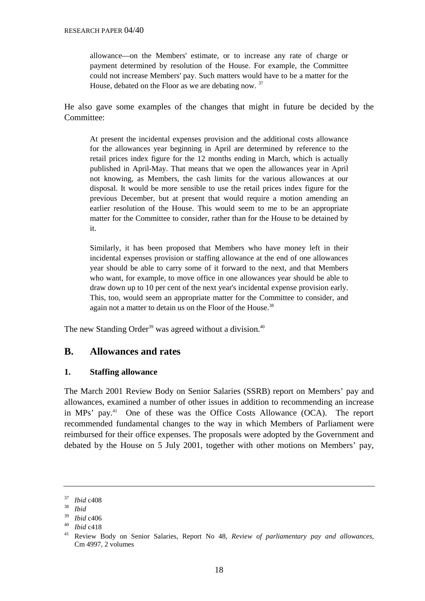allowance—on the Members' estimate, or to increase any rate of charge or payment determined by resolution of the House. For example, the Committee could not increase Members' pay. Such matters would have to be a matter for the House, debated on the Floor as we are debating now. <sup>37</sup>

He also gave some examples of the changes that might in future be decided by the Committee:

At present the incidental expenses provision and the additional costs allowance for the allowances year beginning in April are determined by reference to the retail prices index figure for the 12 months ending in March, which is actually published in April-May. That means that we open the allowances year in April not knowing, as Members, the cash limits for the various allowances at our disposal. It would be more sensible to use the retail prices index figure for the previous December, but at present that would require a motion amending an earlier resolution of the House. This would seem to me to be an appropriate matter for the Committee to consider, rather than for the House to be detained by it.

Similarly, it has been proposed that Members who have money left in their incidental expenses provision or staffing allowance at the end of one allowances year should be able to carry some of it forward to the next, and that Members who want, for example, to move office in one allowances year should be able to draw down up to 10 per cent of the next year's incidental expense provision early. This, too, would seem an appropriate matter for the Committee to consider, and again not a matter to detain us on the Floor of the House.<sup>38</sup>

The new Standing Order<sup>39</sup> was agreed without a division.<sup>40</sup>

#### **B. Allowances and rates**

#### **1. Staffing allowance**

The March 2001 Review Body on Senior Salaries (SSRB) report on Members' pay and allowances, examined a number of other issues in addition to recommending an increase in MPs' pay.41 One of these was the Office Costs Allowance (OCA). The report recommended fundamental changes to the way in which Members of Parliament were reimbursed for their office expenses. The proposals were adopted by the Government and debated by the House on 5 July 2001, together with other motions on Members' pay,

<sup>37</sup>*Ibid* c408 38 *Ibid* 

<sup>&</sup>lt;sup>40</sup> *Ibid* c418<br><sup>41</sup> Review Body on Senior Salaries, Report No 48, *Review of parliamentary pay and allowances*, Cm 4997, 2 volumes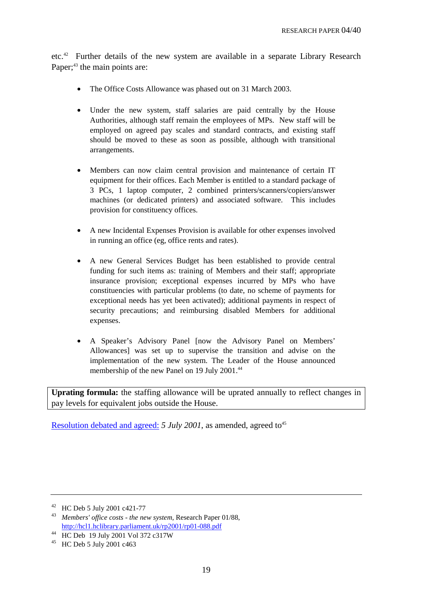etc.42 Further details of the new system are available in a separate Library Research Paper;<sup>43</sup> the main points are:

- The Office Costs Allowance was phased out on 31 March 2003.
- Under the new system, staff salaries are paid centrally by the House Authorities, although staff remain the employees of MPs. New staff will be employed on agreed pay scales and standard contracts, and existing staff should be moved to these as soon as possible, although with transitional arrangements.
- Members can now claim central provision and maintenance of certain IT equipment for their offices. Each Member is entitled to a standard package of 3 PCs, 1 laptop computer, 2 combined printers/scanners/copiers/answer machines (or dedicated printers) and associated software. This includes provision for constituency offices.
- A new Incidental Expenses Provision is available for other expenses involved in running an office (eg, office rents and rates).
- A new General Services Budget has been established to provide central funding for such items as: training of Members and their staff; appropriate insurance provision; exceptional expenses incurred by MPs who have constituencies with particular problems (to date, no scheme of payments for exceptional needs has yet been activated); additional payments in respect of security precautions; and reimbursing disabled Members for additional expenses.
- A Speaker's Advisory Panel [now the Advisory Panel on Members' Allowances] was set up to supervise the transition and advise on the implementation of the new system. The Leader of the House announced membership of the new Panel on 19 July 2001.<sup>44</sup>

**Uprating formula:** the staffing allowance will be uprated annually to reflect changes in pay levels for equivalent jobs outside the House.

Resolution debated and agreed: 5 *July 2001*, as amended, agreed to<sup>45</sup>

<sup>42</sup> HC Deb 5 July 2001 c421-77

<sup>43</sup> *Members' office costs - the new system*, Research Paper 01/88, <http://hcl1.hclibrary.parliament.uk/rp2001/rp01-088.pdf>

<sup>44</sup> HC Deb 19 July 2001 Vol 372 c317W

<sup>45</sup> HC Deb 5 July 2001 c463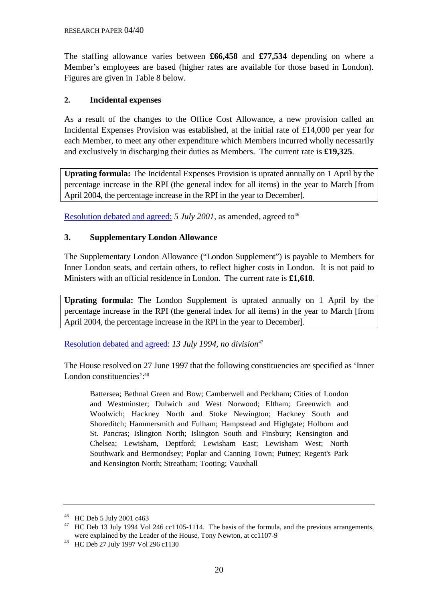The staffing allowance varies between **£66,458** and **£77,534** depending on where a Member's employees are based (higher rates are available for those based in London). Figures are given in Table 8 below.

#### **2. Incidental expenses**

As a result of the changes to the Office Cost Allowance, a new provision called an Incidental Expenses Provision was established, at the initial rate of £14,000 per year for each Member, to meet any other expenditure which Members incurred wholly necessarily and exclusively in discharging their duties as Members. The current rate is **£19,325**.

**Uprating formula:** The Incidental Expenses Provision is uprated annually on 1 April by the percentage increase in the RPI (the general index for all items) in the year to March [from April 2004, the percentage increase in the RPI in the year to December].

Resolution debated and agreed: 5 *July 2001*, as amended, agreed to<sup>46</sup>

#### **3. Supplementary London Allowance**

The Supplementary London Allowance ("London Supplement") is payable to Members for Inner London seats, and certain others, to reflect higher costs in London. It is not paid to Ministers with an official residence in London. The current rate is **£1,618**.

**Uprating formula:** The London Supplement is uprated annually on 1 April by the percentage increase in the RPI (the general index for all items) in the year to March [from April 2004, the percentage increase in the RPI in the year to December].

Resolution debated and agreed: 13 July 1994, no division<sup>47</sup>

The House resolved on 27 June 1997 that the following constituencies are specified as 'Inner London constituencies':<sup>48</sup>

Battersea; Bethnal Green and Bow; Camberwell and Peckham; Cities of London and Westminster; Dulwich and West Norwood; Eltham; Greenwich and Woolwich; Hackney North and Stoke Newington; Hackney South and Shoreditch; Hammersmith and Fulham; Hampstead and Highgate; Holborn and St. Pancras; Islington North; Islington South and Finsbury; Kensington and Chelsea; Lewisham, Deptford; Lewisham East; Lewisham West; North Southwark and Bermondsey; Poplar and Canning Town; Putney; Regent's Park and Kensington North; Streatham; Tooting; Vauxhall

<sup>46</sup> HC Deb 5 July 2001 c463

<sup>&</sup>lt;sup>47</sup> HC Deb 13 July 1994 Vol 246 cc1105-1114. The basis of the formula, and the previous arrangements, were explained by the Leader of the House, Tony Newton, at cc1107-9 48 HC Deb 27 July 1997 Vol 296 c1130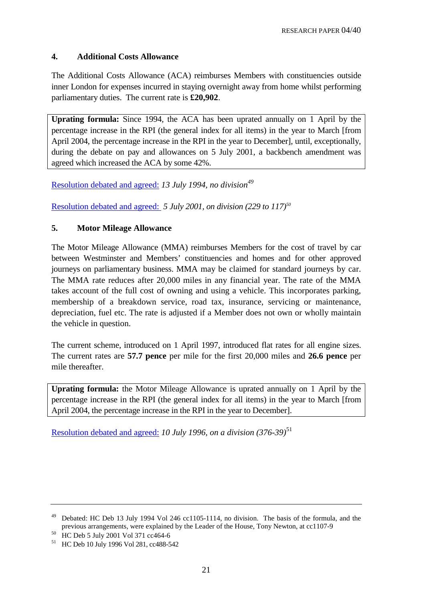#### **4. Additional Costs Allowance**

The Additional Costs Allowance (ACA) reimburses Members with constituencies outside inner London for expenses incurred in staying overnight away from home whilst performing parliamentary duties. The current rate is **£20,902**.

**Uprating formula:** Since 1994, the ACA has been uprated annually on 1 April by the percentage increase in the RPI (the general index for all items) in the year to March [from April 2004, the percentage increase in the RPI in the year to December], until, exceptionally, during the debate on pay and allowances on 5 July 2001, a backbench amendment was agreed which increased the ACA by some 42%.

Resolution debated and agreed: 13 July 1994, no division<sup>49</sup>

Resolution debated and agreed: *5 July 2001, on division (229 to 117)50*

#### **5. Motor Mileage Allowance**

The Motor Mileage Allowance (MMA) reimburses Members for the cost of travel by car between Westminster and Members' constituencies and homes and for other approved journeys on parliamentary business. MMA may be claimed for standard journeys by car. The MMA rate reduces after 20,000 miles in any financial year. The rate of the MMA takes account of the full cost of owning and using a vehicle. This incorporates parking, membership of a breakdown service, road tax, insurance, servicing or maintenance, depreciation, fuel etc. The rate is adjusted if a Member does not own or wholly maintain the vehicle in question.

The current scheme, introduced on 1 April 1997, introduced flat rates for all engine sizes. The current rates are **57.7 pence** per mile for the first 20,000 miles and **26.6 pence** per mile thereafter.

**Uprating formula:** the Motor Mileage Allowance is uprated annually on 1 April by the percentage increase in the RPI (the general index for all items) in the year to March [from April 2004, the percentage increase in the RPI in the year to December].

Resolution debated and agreed: *10 July 1996, on a division (376-39)*<sup>51</sup>

<sup>&</sup>lt;sup>49</sup> Debated: HC Deb 13 July 1994 Vol 246 cc1105-1114, no division. The basis of the formula, and the previous arrangements, were explained by the Leader of the House, Tony Newton, at cc1107-9 HC Deb 5 July 2001 Vol 371 cc464-6

<sup>51</sup> HC Deb 10 July 1996 Vol 281, cc488-542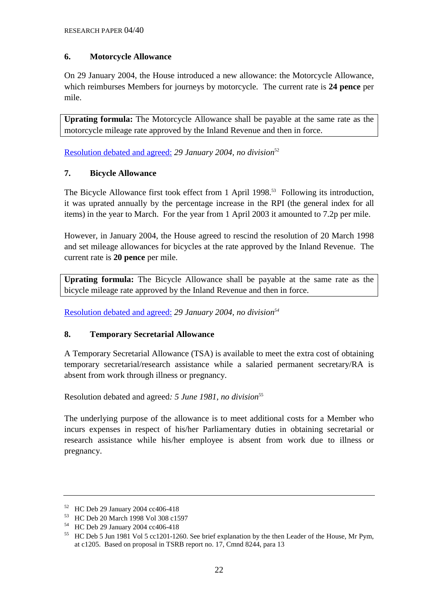#### **6. Motorcycle Allowance**

On 29 January 2004, the House introduced a new allowance: the Motorcycle Allowance, which reimburses Members for journeys by motorcycle. The current rate is **24 pence** per mile.

**Uprating formula:** The Motorcycle Allowance shall be payable at the same rate as the motorcycle mileage rate approved by the Inland Revenue and then in force.

Resolution debated and agreed: 29 January 2004, no division<sup>52</sup>

#### **7. Bicycle Allowance**

The Bicycle Allowance first took effect from 1 April 1998.<sup>53</sup> Following its introduction, it was uprated annually by the percentage increase in the RPI (the general index for all items) in the year to March. For the year from 1 April 2003 it amounted to 7.2p per mile.

However, in January 2004, the House agreed to rescind the resolution of 20 March 1998 and set mileage allowances for bicycles at the rate approved by the Inland Revenue. The current rate is **20 pence** per mile.

**Uprating formula:** The Bicycle Allowance shall be payable at the same rate as the bicycle mileage rate approved by the Inland Revenue and then in force.

Resolution debated and agreed: 29 January 2004, no division<sup>54</sup>

#### **8. Temporary Secretarial Allowance**

A Temporary Secretarial Allowance (TSA) is available to meet the extra cost of obtaining temporary secretarial/research assistance while a salaried permanent secretary/RA is absent from work through illness or pregnancy.

Resolution debated and agreed: 5 June 1981, no division<sup>55</sup>

The underlying purpose of the allowance is to meet additional costs for a Member who incurs expenses in respect of his/her Parliamentary duties in obtaining secretarial or research assistance while his/her employee is absent from work due to illness or pregnancy.

<sup>52</sup> HC Deb 29 January 2004 cc406-418

<sup>53</sup> HC Deb 20 March 1998 Vol 308 c1597

<sup>54</sup> HC Deb 29 January 2004 cc406-418

<sup>55</sup> HC Deb 5 Jun 1981 Vol 5 cc1201-1260. See brief explanation by the then Leader of the House, Mr Pym, at c1205. Based on proposal in TSRB report no. 17, Cmnd 8244, para 13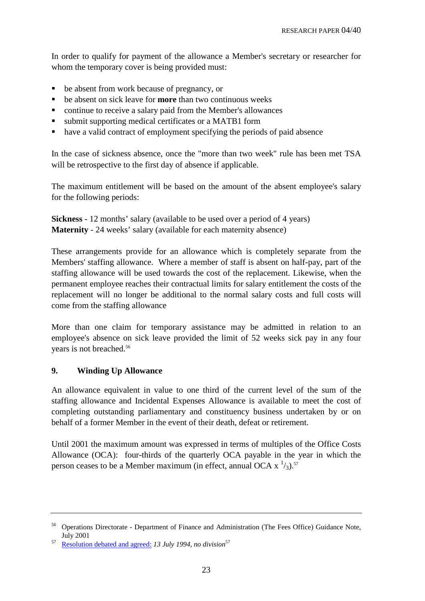In order to qualify for payment of the allowance a Member's secretary or researcher for whom the temporary cover is being provided must:

- be absent from work because of pregnancy, or
- be absent on sick leave for **more** than two continuous weeks
- continue to receive a salary paid from the Member's allowances
- submit supporting medical certificates or a MATB1 form
- have a valid contract of employment specifying the periods of paid absence

In the case of sickness absence, once the "more than two week" rule has been met TSA will be retrospective to the first day of absence if applicable.

The maximum entitlement will be based on the amount of the absent employee's salary for the following periods:

**Sickness** - 12 months' salary (available to be used over a period of 4 years) **Maternity** - 24 weeks' salary (available for each maternity absence)

These arrangements provide for an allowance which is completely separate from the Members' staffing allowance. Where a member of staff is absent on half-pay, part of the staffing allowance will be used towards the cost of the replacement. Likewise, when the permanent employee reaches their contractual limits for salary entitlement the costs of the replacement will no longer be additional to the normal salary costs and full costs will come from the staffing allowance

More than one claim for temporary assistance may be admitted in relation to an employee's absence on sick leave provided the limit of 52 weeks sick pay in any four years is not breached.<sup>56</sup>

#### **9. Winding Up Allowance**

An allowance equivalent in value to one third of the current level of the sum of the staffing allowance and Incidental Expenses Allowance is available to meet the cost of completing outstanding parliamentary and constituency business undertaken by or on behalf of a former Member in the event of their death, defeat or retirement.

Until 2001 the maximum amount was expressed in terms of multiples of the Office Costs Allowance (OCA): four-thirds of the quarterly OCA payable in the year in which the person ceases to be a Member maximum (in effect, annual OCA  $x^{-1/3}$ ).<sup>57</sup>

<sup>&</sup>lt;sup>56</sup> Operations Directorate - Department of Finance and Administration (The Fees Office) Guidance Note, July 2001

<sup>&</sup>lt;sup>57</sup> Resolution debated and agreed: 13 July 1994, no division<sup>57</sup>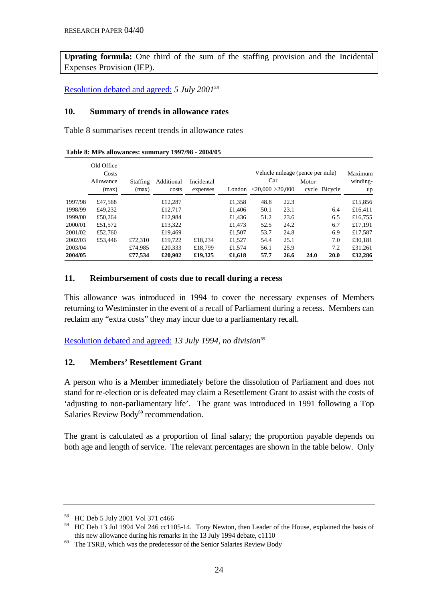**Uprating formula:** One third of the sum of the staffing provision and the Incidental Expenses Provision (IEP).

Resolution debated and agreed: *5 July 200158*

#### **10. Summary of trends in allowance rates**

Table 8 summarises recent trends in allowance rates

|         | Old Office<br>Costs<br>Allowance<br>(max) | <b>Staffing</b><br>(max) | Additional<br>costs | Incidental<br>expenses | London | Car<br>$<$ 20.000 $>$ 20.000 |      | Vehicle mileage (pence per mile)<br>Motor- | cycle Bicycle | Maximum<br>winding-<br>up |
|---------|-------------------------------------------|--------------------------|---------------------|------------------------|--------|------------------------------|------|--------------------------------------------|---------------|---------------------------|
| 1997/98 | £47.568                                   |                          | £12,287             |                        | £1,358 | 48.8                         | 22.3 |                                            |               | £15,856                   |
| 1998/99 | £49,232                                   |                          | £12.717             |                        | £1.406 | 50.1                         | 23.1 |                                            | 6.4           | £16,411                   |
| 1999/00 | £50,264                                   |                          | £12.984             |                        | £1.436 | 51.2                         | 23.6 |                                            | 6.5           | £16,755                   |
| 2000/01 | £51,572                                   |                          | £13,322             |                        | £1,473 | 52.5                         | 24.2 |                                            | 6.7           | £17,191                   |
| 2001/02 | £52,760                                   |                          | £19,469             |                        | £1.507 | 53.7                         | 24.8 |                                            | 6.9           | £17.587                   |
| 2002/03 | £53,446                                   | £72,310                  | £19,722             | £18,234                | £1,527 | 54.4                         | 25.1 |                                            | 7.0           | £30.181                   |
| 2003/04 |                                           | £74.985                  | £20,333             | £18,799                | £1.574 | 56.1                         | 25.9 |                                            | 7.2           | £31.261                   |
| 2004/05 |                                           | £77,534                  | £20,902             | £19,325                | £1,618 | 57.7                         | 26.6 | 24.0                                       | 20.0          | £32,286                   |

**Table 8: MPs allowances: summary 1997/98 - 2004/05**

#### **11. Reimbursement of costs due to recall during a recess**

This allowance was introduced in 1994 to cover the necessary expenses of Members returning to Westminster in the event of a recall of Parliament during a recess. Members can reclaim any "extra costs" they may incur due to a parliamentary recall.

Resolution debated and agreed: 13 July 1994, no division<sup>59</sup>

#### **12. Members' Resettlement Grant**

A person who is a Member immediately before the dissolution of Parliament and does not stand for re-election or is defeated may claim a Resettlement Grant to assist with the costs of 'adjusting to non-parliamentary life'. The grant was introduced in 1991 following a Top Salaries Review Body<sup>60</sup> recommendation.

The grant is calculated as a proportion of final salary; the proportion payable depends on both age and length of service. The relevant percentages are shown in the table below. Only

<sup>58</sup> HC Deb 5 July 2001 Vol 371 c466

<sup>59</sup> HC Deb 13 Jul 1994 Vol 246 cc1105-14. Tony Newton, then Leader of the House, explained the basis of

this new allowance during his remarks in the 13 July 1994 debate, c1110<br><sup>60</sup> The TSRB, which was the predecessor of the Senior Salaries Review Body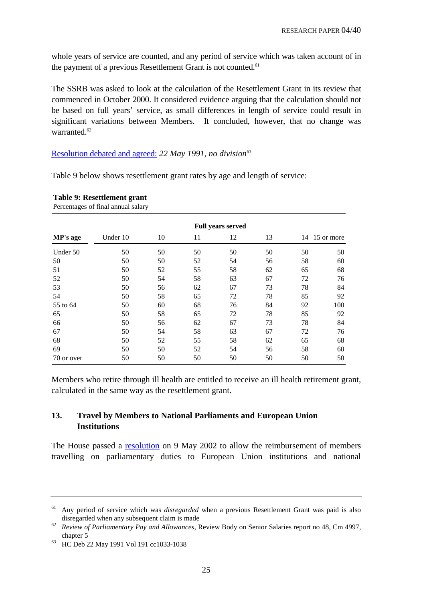whole years of service are counted, and any period of service which was taken account of in the payment of a previous Resettlement Grant is not counted.<sup>61</sup>

The SSRB was asked to look at the calculation of the Resettlement Grant in its review that commenced in October 2000. It considered evidence arguing that the calculation should not be based on full years' service, as small differences in length of service could result in significant variations between Members. It concluded, however, that no change was warranted.<sup>62</sup>

Resolution debated and agreed: 22 May 1991, no division<sup>63</sup>

Table 9 below shows resettlement grant rates by age and length of service:

| Percentages of final annual salary |                          |    |    |    |    |    |            |
|------------------------------------|--------------------------|----|----|----|----|----|------------|
|                                    | <b>Full years served</b> |    |    |    |    |    |            |
| MP's age                           | Under 10                 | 10 | 11 | 12 | 13 | 14 | 15 or more |
| Under 50                           | 50                       | 50 | 50 | 50 | 50 | 50 | 50         |
| 50                                 | 50                       | 50 | 52 | 54 | 56 | 58 | 60         |
| 51                                 | 50                       | 52 | 55 | 58 | 62 | 65 | 68         |
| 52                                 | 50                       | 54 | 58 | 63 | 67 | 72 | 76         |
| 53                                 | 50                       | 56 | 62 | 67 | 73 | 78 | 84         |
| 54                                 | 50                       | 58 | 65 | 72 | 78 | 85 | 92         |
| 55 to 64                           | 50                       | 60 | 68 | 76 | 84 | 92 | 100        |
| 65                                 | 50                       | 58 | 65 | 72 | 78 | 85 | 92         |
| 66                                 | 50                       | 56 | 62 | 67 | 73 | 78 | 84         |
| 67                                 | 50                       | 54 | 58 | 63 | 67 | 72 | 76         |
| 68                                 | 50                       | 52 | 55 | 58 | 62 | 65 | 68         |
| 69                                 | 50                       | 50 | 52 | 54 | 56 | 58 | 60         |
| 70 or over                         | 50                       | 50 | 50 | 50 | 50 | 50 | 50         |

#### **Table 9: Resettlement grant**

Members who retire through ill health are entitled to receive an ill health retirement grant, calculated in the same way as the resettlement grant.

#### **13. Travel by Members to National Parliaments and European Union Institutions**

The House passed a resolution on 9 May 2002 to allow the reimbursement of members travelling on parliamentary duties to European Union institutions and national

<sup>61</sup> Any period of service which was *disregarded* when a previous Resettlement Grant was paid is also

disregarded when any subsequent claim is made 62 *Review of Parliamentary Pay and Allowances*, Review Body on Senior Salaries report no 48, Cm 4997,

chapter 5 63 HC Deb 22 May 1991 Vol 191 cc1033-1038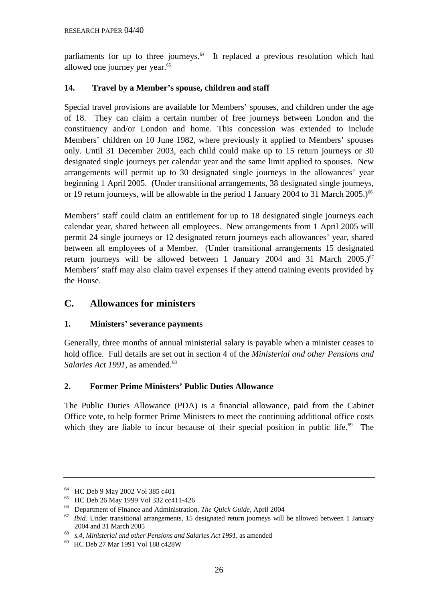parliaments for up to three journeys.<sup>64</sup> It replaced a previous resolution which had allowed one journey per year.<sup>65</sup>

#### **14. Travel by a Member's spouse, children and staff**

Special travel provisions are available for Members' spouses, and children under the age of 18. They can claim a certain number of free journeys between London and the constituency and/or London and home. This concession was extended to include Members' children on 10 June 1982, where previously it applied to Members' spouses only. Until 31 December 2003, each child could make up to 15 return journeys or 30 designated single journeys per calendar year and the same limit applied to spouses. New arrangements will permit up to 30 designated single journeys in the allowances' year beginning 1 April 2005. (Under transitional arrangements, 38 designated single journeys, or 19 return journeys, will be allowable in the period 1 January 2004 to 31 March 2005.)<sup>66</sup>

Members' staff could claim an entitlement for up to 18 designated single journeys each calendar year, shared between all employees. New arrangements from 1 April 2005 will permit 24 single journeys or 12 designated return journeys each allowances' year, shared between all employees of a Member. (Under transitional arrangements 15 designated return journeys will be allowed between 1 January 2004 and 31 March  $2005.$ )<sup>67</sup> Members' staff may also claim travel expenses if they attend training events provided by the House.

### **C. Allowances for ministers**

#### **1. Ministers' severance payments**

Generally, three months of annual ministerial salary is payable when a minister ceases to hold office. Full details are set out in section 4 of the *Ministerial and other Pensions and Salaries Act 1991*, as amended.<sup>68</sup>

#### **2. Former Prime Ministers' Public Duties Allowance**

The Public Duties Allowance (PDA) is a financial allowance, paid from the Cabinet Office vote, to help former Prime Ministers to meet the continuing additional office costs which they are liable to incur because of their special position in public life.<sup>69</sup> The

<sup>64</sup> HC Deb 9 May 2002 Vol 385 c401

<sup>&</sup>lt;sup>65</sup> HC Deb 26 May 1999 Vol 332 cc411-426<br><sup>66</sup> Department of Finance and Administration, *The Quick Guide*, April 2004

<sup>&</sup>lt;sup>67</sup> Ibid. Under transitional arrangements, 15 designated return journeys will be allowed between 1 January

<sup>2004</sup> and 31 March 2005 68 *s.4, Ministerial and other Pensions and Salaries Act 1991*, as amended 69 HC Deb 27 Mar 1991 Vol 188 c428W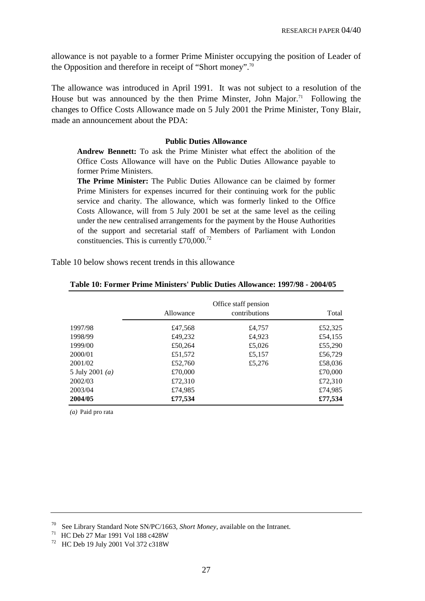allowance is not payable to a former Prime Minister occupying the position of Leader of the Opposition and therefore in receipt of "Short money".<sup>70</sup>

The allowance was introduced in April 1991. It was not subject to a resolution of the House but was announced by the then Prime Minster, John Major.<sup>71</sup> Following the changes to Office Costs Allowance made on 5 July 2001 the Prime Minister, Tony Blair, made an announcement about the PDA:

#### **Public Duties Allowance**

**Andrew Bennett:** To ask the Prime Minister what effect the abolition of the Office Costs Allowance will have on the Public Duties Allowance payable to former Prime Ministers.

**The Prime Minister:** The Public Duties Allowance can be claimed by former Prime Ministers for expenses incurred for their continuing work for the public service and charity. The allowance, which was formerly linked to the Office Costs Allowance, will from 5 July 2001 be set at the same level as the ceiling under the new centralised arrangements for the payment by the House Authorities of the support and secretarial staff of Members of Parliament with London constituencies. This is currently £70,000.<sup>72</sup>

Table 10 below shows recent trends in this allowance

|                   | Allowance | Office staff pension<br>contributions | Total   |
|-------------------|-----------|---------------------------------------|---------|
| 1997/98           | £47,568   | £4,757                                | £52,325 |
| 1998/99           | £49,232   | £4,923                                | £54,155 |
| 1999/00           | £50,264   | £5,026                                | £55,290 |
| 2000/01           | £51,572   | £5,157                                | £56,729 |
| 2001/02           | £52,760   | £5,276                                | £58,036 |
| 5 July 2001 $(a)$ | £70,000   |                                       | £70,000 |
| 2002/03           | £72,310   |                                       | £72,310 |
| 2003/04           | £74,985   |                                       | £74,985 |
| 2004/05           | £77,534   |                                       | £77,534 |

#### **Table 10: Former Prime Ministers' Public Duties Allowance: 1997/98 - 2004/05**

*(a)* Paid pro rata

<sup>70</sup> See Library Standard Note SN/PC/1663, *Short Money*, available on the Intranet. 71 HC Deb 27 Mar 1991 Vol 188 c428W

<sup>72</sup> HC Deb 19 July 2001 Vol 372 c318W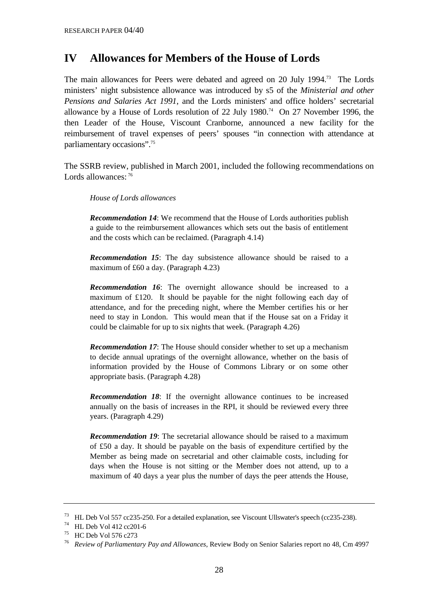### **IV Allowances for Members of the House of Lords**

The main allowances for Peers were debated and agreed on 20 July 1994.73 The Lords ministers' night subsistence allowance was introduced by s5 of the *Ministerial and other Pensions and Salaries Act 1991*, and the Lords ministers' and office holders' secretarial allowance by a House of Lords resolution of 22 July 1980.<sup>74</sup> On 27 November 1996, the then Leader of the House, Viscount Cranborne, announced a new facility for the reimbursement of travel expenses of peers' spouses "in connection with attendance at parliamentary occasions".75

The SSRB review, published in March 2001, included the following recommendations on Lords allowances: 76

*House of Lords allowances* 

*Recommendation 14*: We recommend that the House of Lords authorities publish a guide to the reimbursement allowances which sets out the basis of entitlement and the costs which can be reclaimed. (Paragraph 4.14)

*Recommendation 15*: The day subsistence allowance should be raised to a maximum of £60 a day. (Paragraph 4.23)

*Recommendation 16*: The overnight allowance should be increased to a maximum of £120. It should be payable for the night following each day of attendance, and for the preceding night, where the Member certifies his or her need to stay in London. This would mean that if the House sat on a Friday it could be claimable for up to six nights that week. (Paragraph 4.26)

*Recommendation 17*: The House should consider whether to set up a mechanism to decide annual upratings of the overnight allowance, whether on the basis of information provided by the House of Commons Library or on some other appropriate basis. (Paragraph 4.28)

*Recommendation 18*: If the overnight allowance continues to be increased annually on the basis of increases in the RPI, it should be reviewed every three years. (Paragraph 4.29)

*Recommendation 19*: The secretarial allowance should be raised to a maximum of £50 a day. It should be payable on the basis of expenditure certified by the Member as being made on secretarial and other claimable costs, including for days when the House is not sitting or the Member does not attend, up to a maximum of 40 days a year plus the number of days the peer attends the House,

<sup>73</sup> HL Deb Vol 557 cc235-250. For a detailed explanation, see Viscount Ullswater's speech (cc235-238).

<sup>74</sup> HL Deb Vol 412 cc201-6

<sup>75</sup> HC Deb Vol 576 c273

<sup>76</sup> *Review of Parliamentary Pay and Allowances*, Review Body on Senior Salaries report no 48, Cm 4997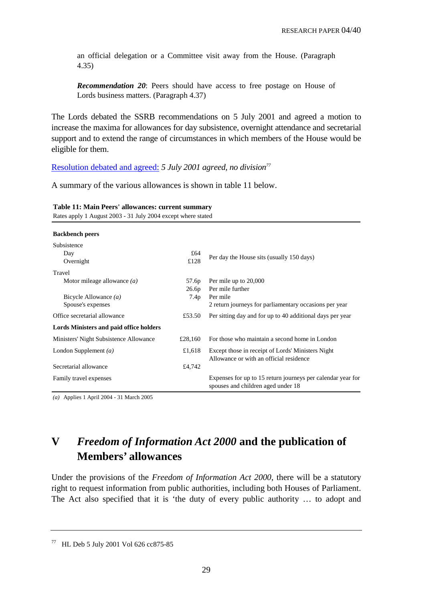an official delegation or a Committee visit away from the House. (Paragraph 4.35)

*Recommendation 20*: Peers should have access to free postage on House of Lords business matters. (Paragraph 4.37)

The Lords debated the SSRB recommendations on 5 July 2001 and agreed a motion to increase the maxima for allowances for day subsistence, overnight attendance and secretarial support and to extend the range of circumstances in which members of the House would be eligible for them.

Resolution debated and agreed: *5 July 2001 agreed, no division77*

A summary of the various allowances is shown in table 11 below.

| Table 11: Main Peers' allowances: current summary            |                   |                                                             |
|--------------------------------------------------------------|-------------------|-------------------------------------------------------------|
| Rates apply 1 August 2003 - 31 July 2004 except where stated |                   |                                                             |
| <b>Backbench peers</b>                                       |                   |                                                             |
| Subsistence                                                  |                   |                                                             |
| Day                                                          | £64               | Per day the House sits (usually 150 days)                   |
| Overnight                                                    | £128              |                                                             |
| Travel                                                       |                   |                                                             |
| Motor mileage allowance $(a)$                                | 57.6 <sub>p</sub> | Per mile up to 20,000                                       |
|                                                              | 26.6 <sub>p</sub> | Per mile further                                            |
| Bicycle Allowance $(a)$                                      | 7.4p              | Per mile                                                    |
| Spouse's expenses                                            |                   | 2 return journeys for parliamentary occasions per year      |
| Office secretarial allowance                                 | £53.50            | Per sitting day and for up to 40 additional days per year   |
| <b>Lords Ministers and paid office holders</b>               |                   |                                                             |
| Ministers' Night Subsistence Allowance                       | £28,160           | For those who maintain a second home in London              |
| London Supplement $(a)$                                      | £1,618            | Except those in receipt of Lords' Ministers Night           |
|                                                              |                   | Allowance or with an official residence                     |
| Secretarial allowance                                        | £4,742            |                                                             |
| Family travel expenses                                       |                   | Expenses for up to 15 return journeys per calendar year for |
|                                                              |                   | spouses and children aged under 18                          |

*(a)* Applies 1 April 2004 - 31 March 2005

# **V** *Freedom of Information Act 2000* **and the publication of Members' allowances**

Under the provisions of the *Freedom of Information Act 2000*, there will be a statutory right to request information from public authorities, including both Houses of Parliament. The Act also specified that it is 'the duty of every public authority … to adopt and

<sup>77</sup> HL Deb 5 July 2001 Vol 626 cc875-85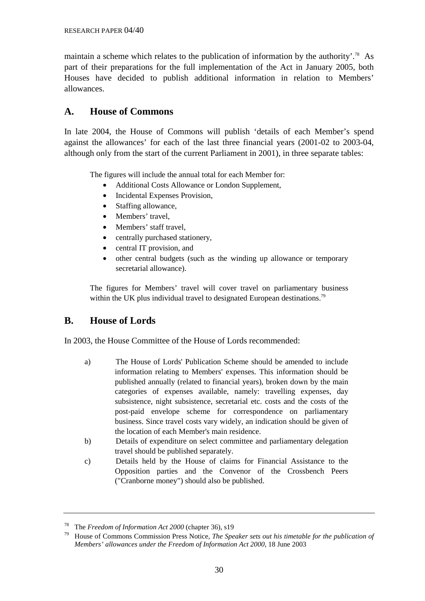maintain a scheme which relates to the publication of information by the authority'.78 As part of their preparations for the full implementation of the Act in January 2005, both Houses have decided to publish additional information in relation to Members' allowances.

#### **A. House of Commons**

In late 2004, the House of Commons will publish 'details of each Member's spend against the allowances' for each of the last three financial years (2001-02 to 2003-04, although only from the start of the current Parliament in 2001), in three separate tables:

The figures will include the annual total for each Member for:

- Additional Costs Allowance or London Supplement,
- Incidental Expenses Provision,
- Staffing allowance,
- Members' travel,
- Members' staff travel.
- centrally purchased stationery,
- central IT provision, and
- other central budgets (such as the winding up allowance or temporary secretarial allowance).

The figures for Members' travel will cover travel on parliamentary business within the UK plus individual travel to designated European destinations.<sup>79</sup>

### **B. House of Lords**

In 2003, the House Committee of the House of Lords recommended:

- a) The House of Lords' Publication Scheme should be amended to include information relating to Members' expenses. This information should be published annually (related to financial years), broken down by the main categories of expenses available, namely: travelling expenses, day subsistence, night subsistence, secretarial etc. costs and the costs of the post-paid envelope scheme for correspondence on parliamentary business. Since travel costs vary widely, an indication should be given of the location of each Member's main residence.
- b) Details of expenditure on select committee and parliamentary delegation travel should be published separately.
- c) Details held by the House of claims for Financial Assistance to the Opposition parties and the Convenor of the Crossbench Peers ("Cranborne money") should also be published.

<sup>&</sup>lt;sup>78</sup> The *Freedom of Information Act 2000* (chapter 36), s19<br><sup>79</sup> House of Commons Commission Press Notice, *The Speaker sets out his timetable for the publication of Members' allowances under the Freedom of Information Act 2000*, 18 June 2003